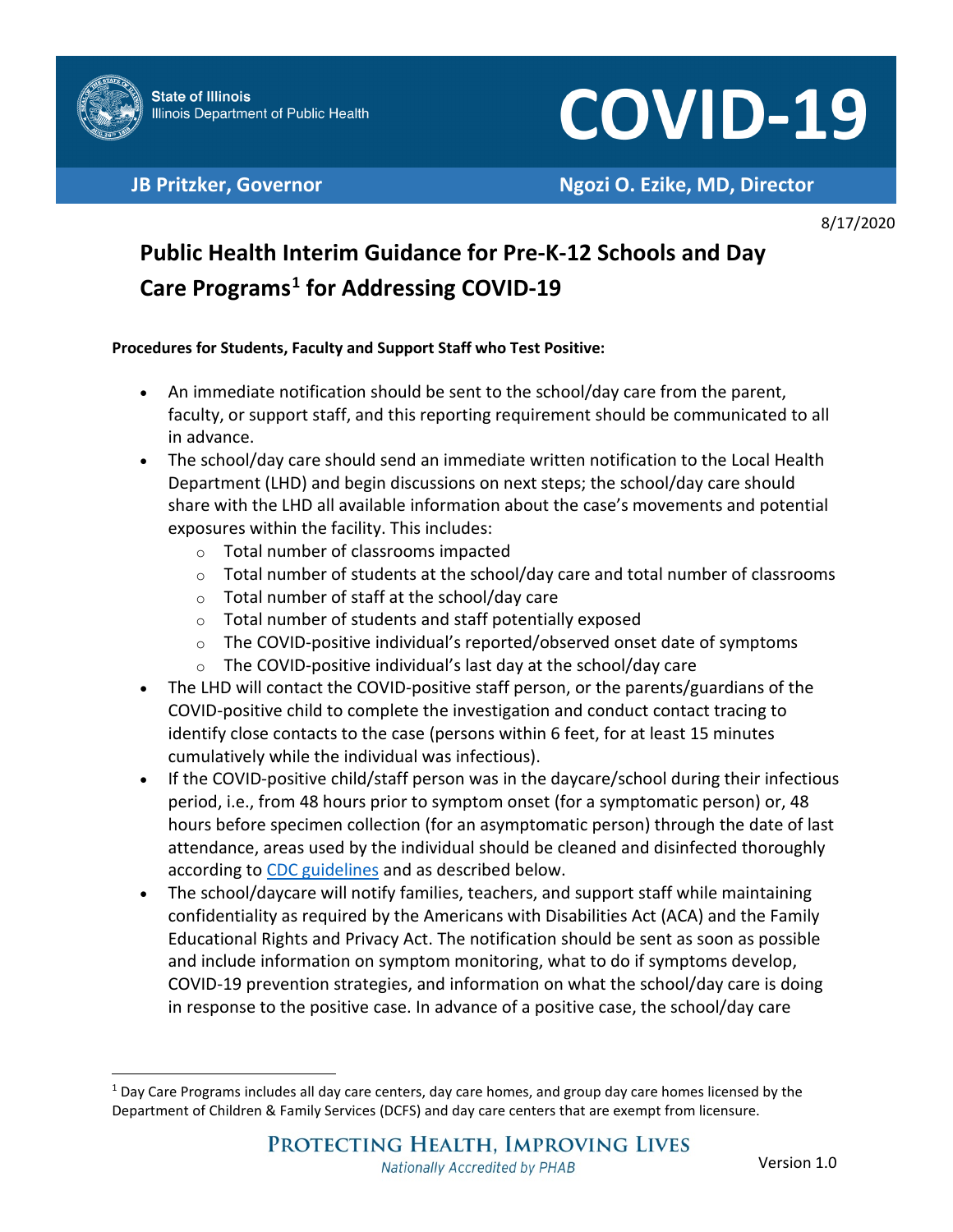

# COVID-19

**JB Pritzker, Governor Ngozi O. Ezike, MD, Director**

8/17/2020

## **Public Health Interim Guidance for Pre-K-12 Schools and Day Care Programs[1](#page-0-0) for Addressing COVID-19**

#### **Procedures for Students, Faculty and Support Staff who Test Positive:**

- An immediate notification should be sent to the school/day care from the parent, faculty, or support staff, and this reporting requirement should be communicated to all in advance.
- The school/day care should send an immediate written notification to the Local Health Department (LHD) and begin discussions on next steps; the school/day care should share with the LHD all available information about the case's movements and potential exposures within the facility. This includes:
	- o Total number of classrooms impacted
	- $\circ$  Total number of students at the school/day care and total number of classrooms
	- o Total number of staff at the school/day care
	- o Total number of students and staff potentially exposed
	- $\circ$  The COVID-positive individual's reported/observed onset date of symptoms
	- $\circ$  The COVID-positive individual's last day at the school/day care
- The LHD will contact the COVID-positive staff person, or the parents/guardians of the COVID-positive child to complete the investigation and conduct contact tracing to identify close contacts to the case (persons within 6 feet, for at least 15 minutes cumulatively while the individual was infectious).
- If the COVID-positive child/staff person was in the daycare/school during their infectious period, i.e., from 48 hours prior to symptom onset (for a symptomatic person) or, 48 hours before specimen collection (for an asymptomatic person) through the date of last attendance, areas used by the individual should be cleaned and disinfected thoroughly according to [CDC guidelines](https://www.cdc.gov/coronavirus/2019-ncov/community/disinfecting-building-facility.html?CDC_AA_refVal=https%3A%2F%2Fwww.cdc.gov%2Fcoronavirus%2F2019-ncov%2Fprepare%2Fdisinfecting-building-facility.html) and as described below.
- The school/daycare will notify families, teachers, and support staff while maintaining confidentiality as required by the Americans with Disabilities Act (ACA) and the Family Educational Rights and Privacy Act. The notification should be sent as soon as possible and include information on symptom monitoring, what to do if symptoms develop, COVID-19 prevention strategies, and information on what the school/day care is doing in response to the positive case. In advance of a positive case, the school/day care

<span id="page-0-0"></span> $1$  Day Care Programs includes all day care centers, day care homes, and group day care homes licensed by the Department of Children & Family Services (DCFS) and day care centers that are exempt from licensure.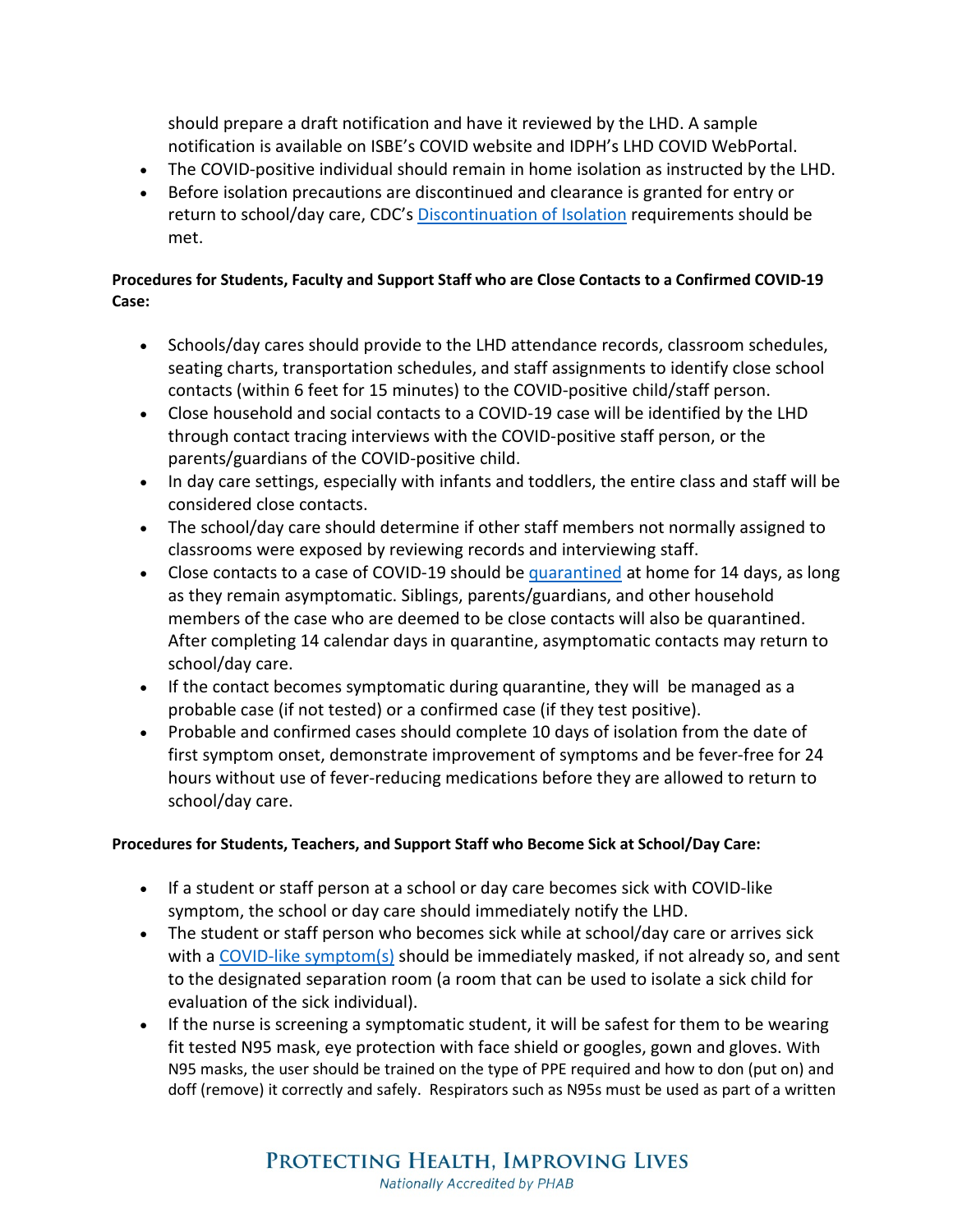should prepare a draft notification and have it reviewed by the LHD. A sample notification is available on ISBE's COVID website and IDPH's LHD COVID WebPortal.

- The COVID-positive individual should remain in home isolation as instructed by the LHD.
- Before isolation precautions are discontinued and clearance is granted for entry or return to school/day care, CDC's [Discontinuation of Isolation](https://www.cdc.gov/coronavirus/2019-ncov/hcp/disposition-in-home-patients.html) requirements should be met.

#### **Procedures for Students, Faculty and Support Staff who are Close Contacts to a Confirmed COVID-19 Case:**

- Schools/day cares should provide to the LHD attendance records, classroom schedules, seating charts, transportation schedules, and staff assignments to identify close school contacts (within 6 feet for 15 minutes) to the COVID-positive child/staff person.
- Close household and social contacts to a COVID-19 case will be identified by the LHD through contact tracing interviews with the COVID-positive staff person, or the parents/guardians of the COVID-positive child.
- In day care settings, especially with infants and toddlers, the entire class and staff will be considered close contacts.
- The school/day care should determine if other staff members not normally assigned to classrooms were exposed by reviewing records and interviewing staff.
- Close contacts to a case of COVID-19 should be [quarantined](https://www.cdc.gov/coronavirus/2019-ncov/if-you-are-sick/quarantine.html) at home for 14 days, as long as they remain asymptomatic. Siblings, parents/guardians, and other household members of the case who are deemed to be close contacts will also be quarantined. After completing 14 calendar days in quarantine, asymptomatic contacts may return to school/day care.
- If the contact becomes symptomatic during quarantine, they will be managed as a probable case (if not tested) or a confirmed case (if they test positive).
- Probable and confirmed cases should complete 10 days of isolation from the date of first symptom onset, demonstrate improvement of symptoms and be fever-free for 24 hours without use of fever-reducing medications before they are allowed to return to school/day care.

#### **Procedures for Students, Teachers, and Support Staff who Become Sick at School/Day Care:**

- If a student or staff person at a school or day care becomes sick with COVID-like symptom, the school or day care should immediately notify the LHD.
- The student or staff person who becomes sick while at school/day care or arrives sick with a [COVID-like symptom\(s\)](https://www.cdc.gov/coronavirus/2019-ncov/symptoms-testing/symptoms.html) should be immediately masked, if not already so, and sent to the designated separation room (a room that can be used to isolate a sick child for evaluation of the sick individual).
- If the nurse is screening a symptomatic student, it will be safest for them to be wearing fit tested N95 mask, eye protection with face shield or googles, gown and gloves. With N95 masks, the user should be trained on the type of PPE required and how to don (put on) and doff (remove) it correctly and safely. Respirators such as N95s must be used as part of a written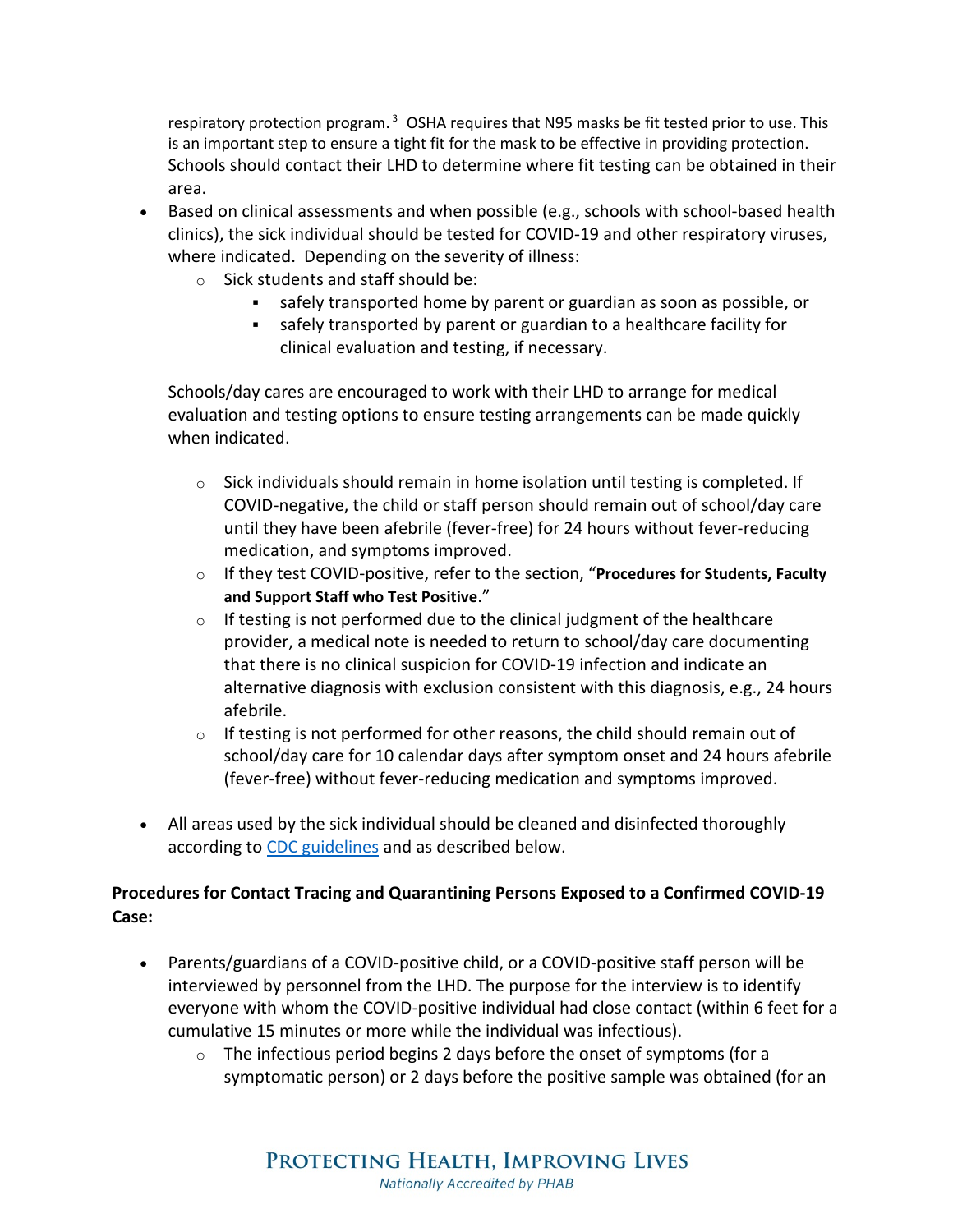respiratory protection program.<sup>3</sup> OSHA requires that N95 masks be fit tested prior to use. This is an important step to ensure a tight fit for the mask to be effective in providing protection. Schools should contact their LHD to determine where fit testing can be obtained in their area.

- Based on clinical assessments and when possible (e.g., schools with school-based health clinics), the sick individual should be tested for COVID-19 and other respiratory viruses, where indicated. Depending on the severity of illness:
	- o Sick students and staff should be:
		- safely transported home by parent or guardian as soon as possible, or
		- safely transported by parent or guardian to a healthcare facility for clinical evaluation and testing, if necessary.

Schools/day cares are encouraged to work with their LHD to arrange for medical evaluation and testing options to ensure testing arrangements can be made quickly when indicated.

- $\circ$  Sick individuals should remain in home isolation until testing is completed. If COVID-negative, the child or staff person should remain out of school/day care until they have been afebrile (fever-free) for 24 hours without fever-reducing medication, and symptoms improved.
- o If they test COVID-positive, refer to the section, "**Procedures for Students, Faculty and Support Staff who Test Positive**."
- $\circ$  If testing is not performed due to the clinical judgment of the healthcare provider, a medical note is needed to return to school/day care documenting that there is no clinical suspicion for COVID-19 infection and indicate an alternative diagnosis with exclusion consistent with this diagnosis, e.g., 24 hours afebrile.
- $\circ$  If testing is not performed for other reasons, the child should remain out of school/day care for 10 calendar days after symptom onset and 24 hours afebrile (fever-free) without fever-reducing medication and symptoms improved.
- All areas used by the sick individual should be cleaned and disinfected thoroughly according to [CDC guidelines](https://www.cdc.gov/coronavirus/2019-ncov/community/disinfecting-building-facility.html?CDC_AA_refVal=https%3A%2F%2Fwww.cdc.gov%2Fcoronavirus%2F2019-ncov%2Fprepare%2Fdisinfecting-building-facility.html) and as described below.

#### **Procedures for Contact Tracing and Quarantining Persons Exposed to a Confirmed COVID-19 Case:**

- Parents/guardians of a COVID-positive child, or a COVID-positive staff person will be interviewed by personnel from the LHD. The purpose for the interview is to identify everyone with whom the COVID-positive individual had close contact (within 6 feet for a cumulative 15 minutes or more while the individual was infectious).
	- $\circ$  The infectious period begins 2 days before the onset of symptoms (for a symptomatic person) or 2 days before the positive sample was obtained (for an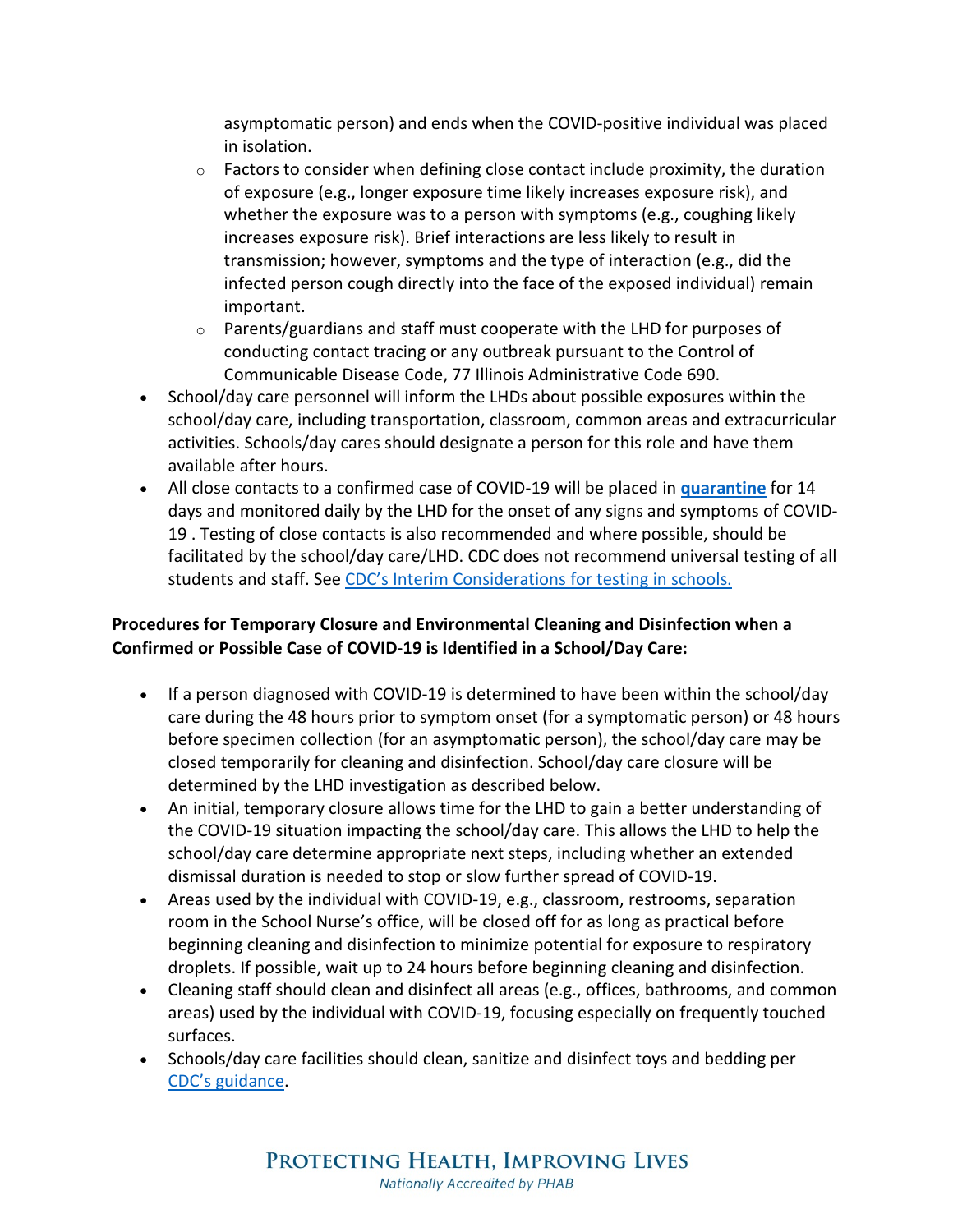asymptomatic person) and ends when the COVID-positive individual was placed in isolation.

- $\circ$  Factors to consider when defining close contact include proximity, the duration of exposure (e.g., longer exposure time likely increases exposure risk), and whether the exposure was to a person with symptoms (e.g., coughing likely increases exposure risk). Brief interactions are less likely to result in transmission; however, symptoms and the type of interaction (e.g., did the infected person cough directly into the face of the exposed individual) remain important.
- $\circ$  Parents/guardians and staff must cooperate with the LHD for purposes of conducting contact tracing or any outbreak pursuant to the Control of Communicable Disease Code, 77 Illinois Administrative Code 690.
- School/day care personnel will inform the LHDs about possible exposures within the school/day care, including transportation, classroom, common areas and extracurricular activities. Schools/day cares should designate a person for this role and have them available after hours.
- All close contacts to a confirmed case of COVID-19 will be placed in **[quarantine](https://www.cdc.gov/coronavirus/2019-ncov/if-you-are-sick/quarantine.html)** for 14 days and monitored daily by the LHD for the onset of any signs and symptoms of COVID-19 . Testing of close contacts is also recommended and where possible, should be facilitated by the school/day care/LHD. CDC does not recommend universal testing of all students and staff. See [CDC's Interim Considerations for testing in schools.](https://www.cdc.gov/coronavirus/2019-ncov/community/schools-childcare/k-12-testing.html)

### **Procedures for Temporary Closure and Environmental Cleaning and Disinfection when a Confirmed or Possible Case of COVID-19 is Identified in a School/Day Care:**

- If a person diagnosed with COVID-19 is determined to have been within the school/day care during the 48 hours prior to symptom onset (for a symptomatic person) or 48 hours before specimen collection (for an asymptomatic person), the school/day care may be closed temporarily for cleaning and disinfection. School/day care closure will be determined by the LHD investigation as described below.
- An initial, temporary closure allows time for the LHD to gain a better understanding of the COVID-19 situation impacting the school/day care. This allows the LHD to help the school/day care determine appropriate next steps, including whether an extended dismissal duration is needed to stop or slow further spread of COVID-19.
- Areas used by the individual with COVID-19, e.g., classroom, restrooms, separation room in the School Nurse's office, will be closed off for as long as practical before beginning cleaning and disinfection to minimize potential for exposure to respiratory droplets. If possible, wait up to 24 hours before beginning cleaning and disinfection.
- Cleaning staff should clean and disinfect all areas (e.g., offices, bathrooms, and common areas) used by the individual with COVID-19, focusing especially on frequently touched surfaces.
- Schools/day care facilities should clean, sanitize and disinfect toys and bedding per [CDC's guidance.](https://www.cdc.gov/coronavirus/2019-ncov/community/schools-childcare/guidance-for-childcare.html)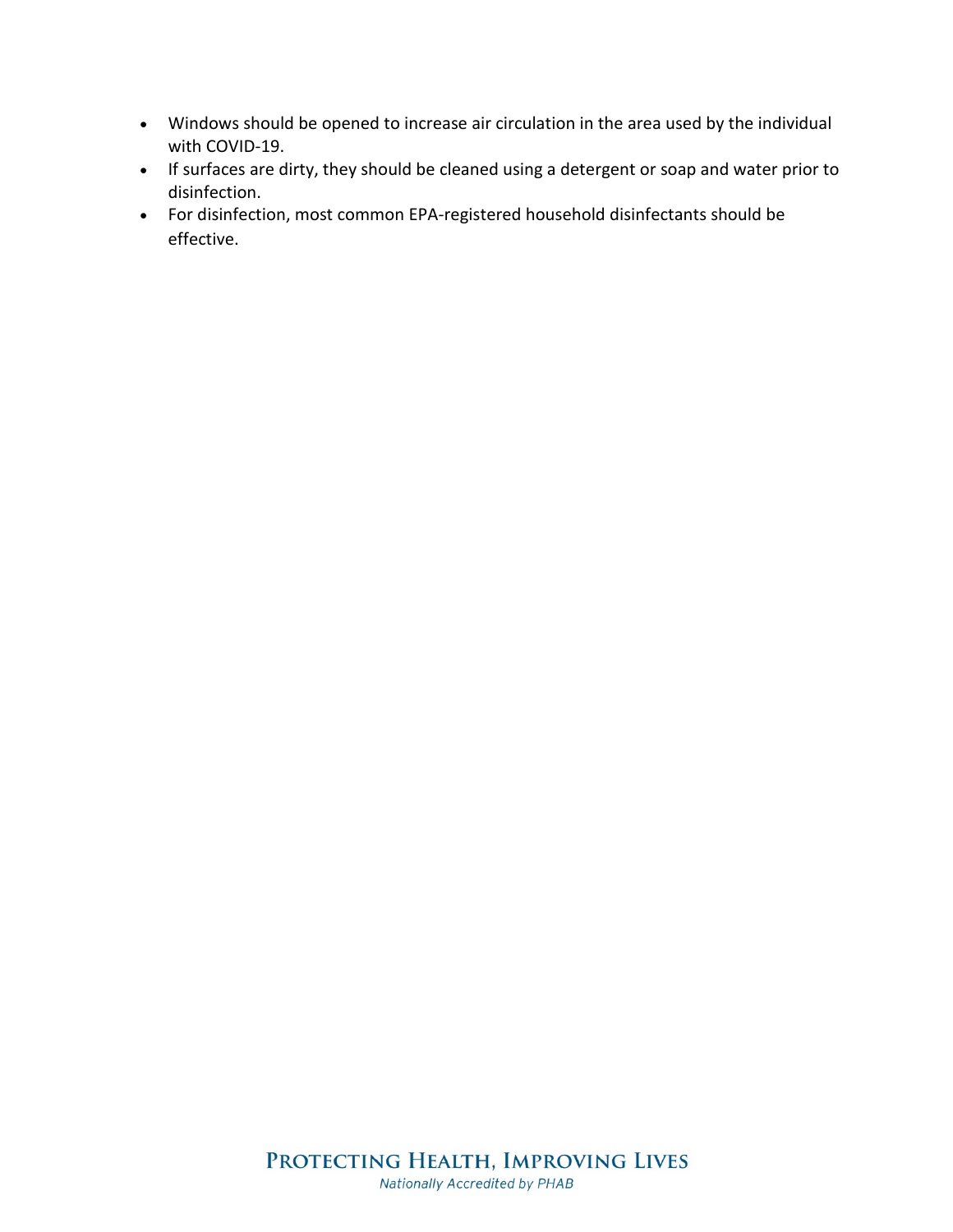- Windows should be opened to increase air circulation in the area used by the individual with COVID-19.
- If surfaces are dirty, they should be cleaned using a detergent or soap and water prior to disinfection.
- For disinfection, most common EPA-registered household disinfectants should be effective.